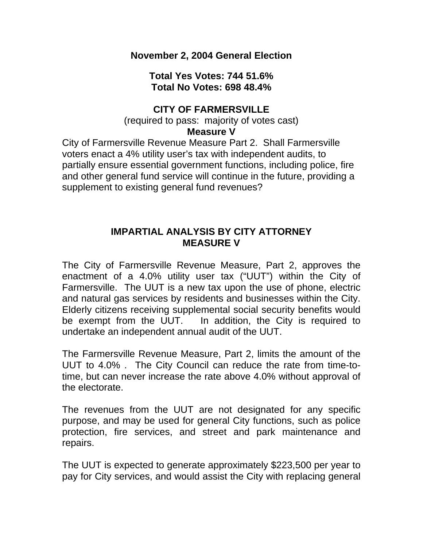**November 2, 2004 General Election** 

**Total Yes Votes: 744 51.6% Total No Votes: 698 48.4%** 

### **CITY OF FARMERSVILLE**

(required to pass: majority of votes cast)

#### **Measure V**

City of Farmersville Revenue Measure Part 2. Shall Farmersville voters enact a 4% utility user's tax with independent audits, to partially ensure essential government functions, including police, fire and other general fund service will continue in the future, providing a supplement to existing general fund revenues?

### **IMPARTIAL ANALYSIS BY CITY ATTORNEY MEASURE V**

The City of Farmersville Revenue Measure, Part 2, approves the enactment of a 4.0% utility user tax ("UUT") within the City of Farmersville. The UUT is a new tax upon the use of phone, electric and natural gas services by residents and businesses within the City. Elderly citizens receiving supplemental social security benefits would be exempt from the UUT. In addition, the City is required to undertake an independent annual audit of the UUT.

The Farmersville Revenue Measure, Part 2, limits the amount of the UUT to 4.0% . The City Council can reduce the rate from time-totime, but can never increase the rate above 4.0% without approval of the electorate.

The revenues from the UUT are not designated for any specific purpose, and may be used for general City functions, such as police protection, fire services, and street and park maintenance and repairs.

The UUT is expected to generate approximately \$223,500 per year to pay for City services, and would assist the City with replacing general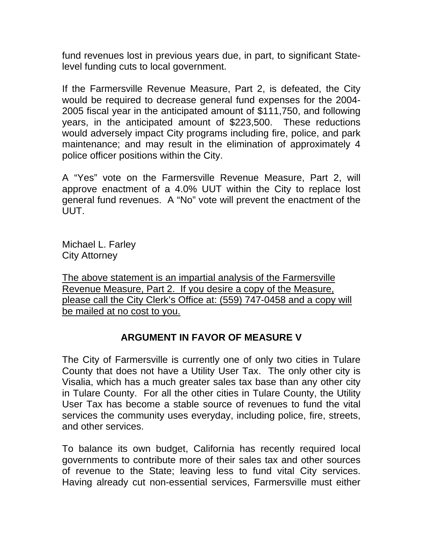fund revenues lost in previous years due, in part, to significant Statelevel funding cuts to local government.

If the Farmersville Revenue Measure, Part 2, is defeated, the City would be required to decrease general fund expenses for the 2004- 2005 fiscal year in the anticipated amount of \$111,750, and following years, in the anticipated amount of \$223,500. These reductions would adversely impact City programs including fire, police, and park maintenance; and may result in the elimination of approximately 4 police officer positions within the City.

A "Yes" vote on the Farmersville Revenue Measure, Part 2, will approve enactment of a 4.0% UUT within the City to replace lost general fund revenues. A "No" vote will prevent the enactment of the UUT.

Michael L. Farley City Attorney

The above statement is an impartial analysis of the Farmersville Revenue Measure, Part 2. If you desire a copy of the Measure, please call the City Clerk's Office at: (559) 747-0458 and a copy will be mailed at no cost to you.

# **ARGUMENT IN FAVOR OF MEASURE V**

The City of Farmersville is currently one of only two cities in Tulare County that does not have a Utility User Tax. The only other city is Visalia, which has a much greater sales tax base than any other city in Tulare County. For all the other cities in Tulare County, the Utility User Tax has become a stable source of revenues to fund the vital services the community uses everyday, including police, fire, streets, and other services.

To balance its own budget, California has recently required local governments to contribute more of their sales tax and other sources of revenue to the State; leaving less to fund vital City services. Having already cut non-essential services, Farmersville must either